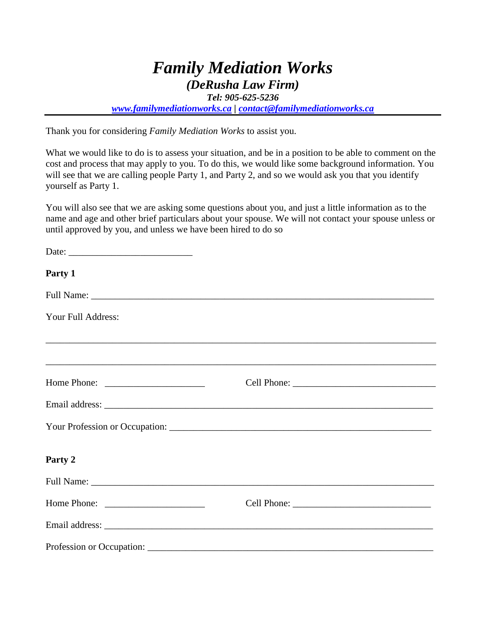## *Family Mediation Works (DeRusha Law Firm)*

*Tel: 905-625-5236*

*[www.familymediationworks.ca](http://www.familymediationworks.ca/) | [contact@familymediationworks.ca](mailto:contact@familymediationworks.ca)*

Thank you for considering *Family Mediation Works* to assist you.

What we would like to do is to assess your situation, and be in a position to be able to comment on the cost and process that may apply to you. To do this, we would like some background information. You will see that we are calling people Party 1, and Party 2, and so we would ask you that you identify yourself as Party 1.

You will also see that we are asking some questions about you, and just a little information as to the name and age and other brief particulars about your spouse. We will not contact your spouse unless or until approved by you, and unless we have been hired to do so

| Party 1                                                                                                                                |  |
|----------------------------------------------------------------------------------------------------------------------------------------|--|
|                                                                                                                                        |  |
| Your Full Address:                                                                                                                     |  |
|                                                                                                                                        |  |
|                                                                                                                                        |  |
|                                                                                                                                        |  |
|                                                                                                                                        |  |
|                                                                                                                                        |  |
| Party 2                                                                                                                                |  |
|                                                                                                                                        |  |
| Home Phone: $\sqrt{\frac{2}{1-\frac{1}{2}} \cdot \frac{1}{2-\frac{1}{2}} \cdot \frac{1}{2-\frac{1}{2}} \cdot \frac{1}{2-\frac{1}{2}}}$ |  |
|                                                                                                                                        |  |
|                                                                                                                                        |  |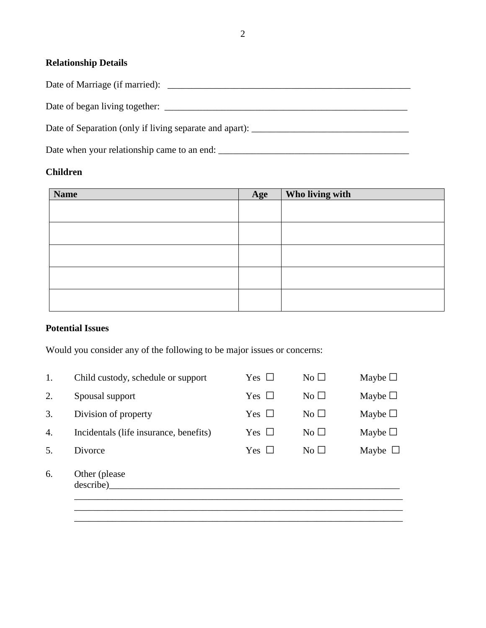## **Relationship Details**

Date of Marriage (if married): \_\_\_\_\_\_\_\_\_\_\_\_\_\_\_\_\_\_\_\_\_\_\_\_\_\_\_\_\_\_\_\_\_\_\_\_\_\_\_\_\_\_\_\_\_\_\_\_\_\_\_

Date of began living together: \_\_\_\_\_\_\_\_\_\_\_\_\_\_\_\_\_\_\_\_\_\_\_\_\_\_\_\_\_\_\_\_\_\_\_\_\_\_\_\_\_\_\_\_\_\_\_\_\_\_\_

Date of Separation (only if living separate and apart): \_\_\_\_\_\_\_\_\_\_\_\_\_\_\_\_\_\_\_\_\_\_\_\_\_\_\_\_\_\_\_\_\_

Date when your relationship came to an end: \_\_\_\_\_\_\_\_\_\_\_\_\_\_\_\_\_\_\_\_\_\_\_\_\_\_\_\_\_\_\_\_\_\_\_\_\_\_\_\_

## **Children**

| <b>Name</b> | Age | Who living with |
|-------------|-----|-----------------|
|             |     |                 |
|             |     |                 |
|             |     |                 |
|             |     |                 |
|             |     |                 |
|             |     |                 |
|             |     |                 |
|             |     |                 |
|             |     |                 |
|             |     |                 |

## **Potential Issues**

Would you consider any of the following to be major issues or concerns:

| Child custody, schedule or support     | Yes $\Box$ | No $\square$ | Maybe $\Box$ |
|----------------------------------------|------------|--------------|--------------|
| Spousal support                        | Yes $\Box$ | No $\square$ | Maybe $\Box$ |
| Division of property                   | Yes $\Box$ | No $\square$ | Maybe $\Box$ |
| Incidentals (life insurance, benefits) | Yes $\Box$ | No $\square$ | Maybe $\Box$ |
| Divorce                                | Yes $\Box$ | No $\square$ | Maybe $\Box$ |
| Other (please)<br>describe)            |            |              |              |
|                                        |            |              |              |

\_\_\_\_\_\_\_\_\_\_\_\_\_\_\_\_\_\_\_\_\_\_\_\_\_\_\_\_\_\_\_\_\_\_\_\_\_\_\_\_\_\_\_\_\_\_\_\_\_\_\_\_\_\_\_\_\_\_\_\_\_\_\_\_\_\_\_\_\_